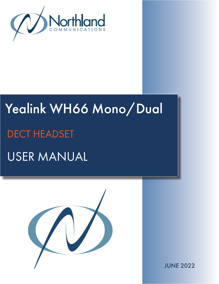

# Yealink WH66 Mono/Dual USER MANUAL DECT HEADSET



JUNE 2022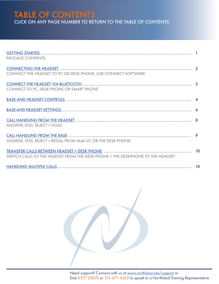TABLE OF CONTENTS CLICK ON ANY PAGE NUMBER TO RETURN TO THE TABLE OF CONTENTS

| PACKAGE CONTENTS.                                                              |  |
|--------------------------------------------------------------------------------|--|
| CONNECT THE HEADSET TO PC OR DESK PHONE, USB CONNECT SOFTWARE.                 |  |
| CONNECT TO PC, DESK PHONE OR SMART PHONE                                       |  |
|                                                                                |  |
|                                                                                |  |
| ANSWER, END, REJECT + HOLD.                                                    |  |
| ANSWER, END, REJECT + REDIAL FROM MaX UC OR THE DESK PHONE.                    |  |
| SWITCH CALLS TO THE HEADSET FROM THE DESK PHONE + THE DESKPHONE TO THE HEADSET |  |
|                                                                                |  |

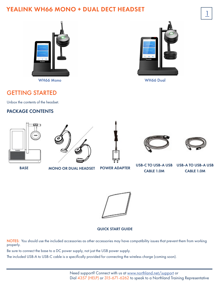# YEALINK WH66 MONO + DUAL DECT HEADSET



WH66 Mono WH66 Dual



## <span id="page-2-0"></span>GETTING STARTED

Unbox the contents of the headset.

#### PACKAGE CONTENTS





BASE MONO OR DUAL HEADSET POWER ADAPTER

USB-C TO USB-A USB CABLE 1.0M

USB-A TO USB-A USB

CABLE 1.0M

QUICK START GUIDE

NOTES: You should use the included accessories as other accessories may have compatibility issues that prevent them from working properly.

Be sure to connect the base to a DC power supply, not just the USB power supply.

The included USB-A to USB-C cable is a specifically provided for connecting the wireless charge (coming soon).

Need support? Connect with us at [www.northland.net/support](http://northland.net/support) or Dial 4357 (HELP) or 315-671-6262 to speak to a Northland Training Representative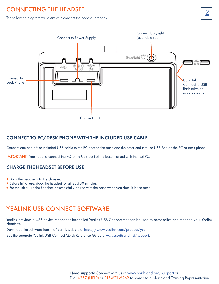# <span id="page-3-0"></span>2 CONNECTING THE HEADSET

The following diagram will assist with connect the headset properly.



#### CONNECT TO PC/DESK PHONE WITH THE INCLUDED USB CABLE

Connect one end of the included USB cable to the PC port on the base and the other end into the USB Port on the PC or desk phone.

IMPORTANT: You need to connect the PC to the USB port of the base marked with the text PC.

#### CHARGE THE HEADSET BEFORE USE

- + Dock the headset into the charger.
- + Before initial use, dock the headset for at least 30 minutes.
- + For the initial use the headset is successfully paired with the base when you dock it in the base.

### YEALINK USB CONNECT SOFTWARE

Yealink provides a USB device manager client called Yealink USB Connect that can be used to personalize and manage your Yealink Headsets.

Download the software from the Yealink website at [https://www.yealink.com/product/yuc.](https://www.yealink.com/product/yuc)

See the separate Yealink USB Connect Quick Reference Guide at [www.northland.net/support](http://www.northland.net/support).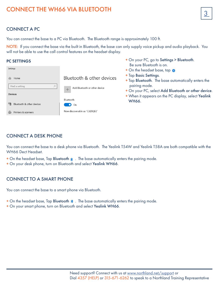# <span id="page-4-0"></span>CONNECT THE WH66 VIA BLUETOOTH  $\sqrt{3}$

#### CONNECT A PC

You can connect the base to a PC via Bluetooth. The Bluetooth range is approximately 100 ft.

NOTE: If you connect the base via the built in Bluetooth, the base can only supply voice pickup and audio playback. You will not be able to use the call control features on the headset display.

#### PC SETTINGS

| Settings                        |                                                            | <u>DE SUIE DIUEIUUIII IS U</u><br>+ On the headset base,          |
|---------------------------------|------------------------------------------------------------|-------------------------------------------------------------------|
| Home<br>Find a setting<br>Q     | Bluetooth & other devices<br>Add Bluetooth or other device | + Tap Basic Settings.<br>+ Tap Bluetooth. The bo<br>pairing mode. |
| <b>Devices</b>                  | Bluetooth                                                  | + On your PC, select Ao<br>+ When it appears on the               |
| 『图<br>Bluetooth & other devices | On                                                         | <b>WH66.</b>                                                      |
| Printers & scanners<br>苊        | Now discoverable as "C3ZXQF2"                              |                                                                   |

#### CONNECT A DESK PHONE

You can connect the base to a desk phone via Bluetooth. The Yealink T54W and Yealink T58A are both compatible with the WH66 Dect Headset.

- $+$  On the headset base, Tap Bluetooth  $*$ . The base automatically enters the pairing mode.
- + On your desk phone, turn on Bluetooth and select Yealink WH66.

#### CONNECT TO A SMART PHONE

You can connect the base to a smart phone via Bluetooth.

- $+$  On the headset base, Tap Bluetooth  $*$ . The base automatically enters the pairing mode.
- + On your smart phone, turn on Bluetooth and select Yealink WH66.
- + On your PC, go to Settings > Bluetooth. Be sure Bluetooth is on.
- $\tan \theta$
- ase automatically enters the
- dd Bluetooth or other device.
- he PC display, select Yealink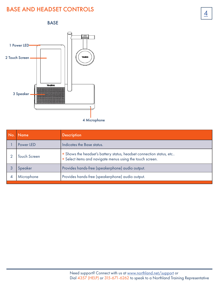# <span id="page-5-0"></span>**BASE AND HEADSET CONTROLS**





| No. | Name                | <b>Description</b>                                                                                                                |
|-----|---------------------|-----------------------------------------------------------------------------------------------------------------------------------|
|     | Power LED           | Indicates the Base status.                                                                                                        |
|     | <b>Touch Screen</b> | + Shows the headset's battery status, headset connection status, etc<br>+ Select items and navigate menus using the touch screen. |
|     | Speaker             | Provides hands-free (speakerphone) audio output.                                                                                  |
|     | Microphone          | Provides hands-free (speakerphone) audio output.                                                                                  |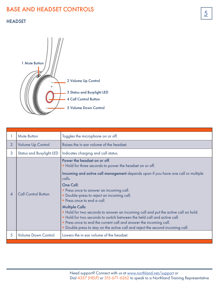# **BASE AND HEADSET CONTROLS**

#### HEADSET



|                | Mute Button                     | Toggles the microphone on or off.                                                                                                                                                                                                                                                                                                                                                                                                                                                                                                                                                                                                                                               |
|----------------|---------------------------------|---------------------------------------------------------------------------------------------------------------------------------------------------------------------------------------------------------------------------------------------------------------------------------------------------------------------------------------------------------------------------------------------------------------------------------------------------------------------------------------------------------------------------------------------------------------------------------------------------------------------------------------------------------------------------------|
| $\overline{2}$ | <b>Volume Up Control</b>        | Raises the in ear volume of the headset.                                                                                                                                                                                                                                                                                                                                                                                                                                                                                                                                                                                                                                        |
| 3              | <b>Status and Busylight LED</b> | Indicates charging and call status.                                                                                                                                                                                                                                                                                                                                                                                                                                                                                                                                                                                                                                             |
|                | <b>Call Control Button</b>      | Power the headset on or off.<br>+ Hold for three seconds to power the headset on or off.<br>Incoming and active call management depends upon if you have one call or multiple<br>calls.<br>One Call:<br>+ Press once to answer an incoming call.<br>+ Double-press to reject an incoming call.<br>+ Press once to end a call.<br><b>Multiple Calls</b><br>+ Hold for two seconds to answer an incoming call and put the active call on hold.<br>+ Hold for two seconds to switch between the held call and active call.<br>+ Press once to end the current call and answer the incoming call.<br>+ Double press to stay on the active call and reject the second incoming call. |
| 5              | <b>Volume Down Control</b>      | Lowers the in ear volume of the headset.                                                                                                                                                                                                                                                                                                                                                                                                                                                                                                                                                                                                                                        |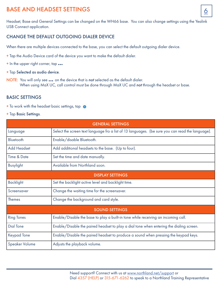# BASE AND HEADSET SETTINGS

Headset, Base and General Settings can be changed on the WH66 base. You can also change settings using the Yealink USB Connect application.

#### CHANGE THE DEFAULT OUTGOING DIALER DEVICE

When there are multiple devices connected to the base, you can select the default outgoing dialer device.

- + Tap the Audio Device card of the device you want to make the default dialer.
- <sup>+</sup> In the upper right corner, tap ...
- + Tap Selected as audio device.
- NOTE: You will only see ... on the device that is *not* selected as the default dialer. When using MaX UC, call control must be done through MaX UC and *not* through the headset or base.

#### BASIC SETTINGS

- + To work with the headset basic settings, tap
- + Tap Basic Settings.

| <b>GENERAL SETTINGS</b> |                                                                                                  |  |
|-------------------------|--------------------------------------------------------------------------------------------------|--|
| Language                | Select the screen text language fro a list of 13 languages. (be sure you can read the language). |  |
| Bluetooth               | Enable/disable Bluetooth.                                                                        |  |
| <b>Add Headset</b>      | Add additional headsets to the base. (Up to four).                                               |  |
| Time & Date             | Set the time and date manually.                                                                  |  |
| <b>Busylight</b>        | Available from Northland soon.                                                                   |  |
| <b>DISPLAY SETTINGS</b> |                                                                                                  |  |
| <b>Backlight</b>        | Set the backlight active level and backlight time.                                               |  |
| Screensaver             | Change the waiting time for the screensaver.                                                     |  |
| <b>Themes</b>           | Change the background and card style.                                                            |  |
| <b>SOUND SETTINGS</b>   |                                                                                                  |  |
| <b>Ring Tones</b>       | Enable/Disable the base to play a built-in tone while receiving an incoming call.                |  |
| <b>Dial Tone</b>        | Enable/Disable the paired headset to play a dial tone when entering the dialing screen.          |  |
| <b>Keypad Tone</b>      | Enable/Disable the paired headset to produce a sound when pressing the keypad keys.              |  |
| <b>Speaker Volume</b>   | Adjusts the playback volume.                                                                     |  |

6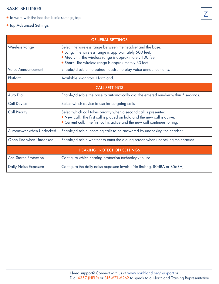#### BASIC SETTINGS

- + To work with the headset basic settings, tap
- + Tap Advanced Settings.

| <b>GENERAL SETTINGS</b>            |                                                                                                                                                                                                                                          |  |
|------------------------------------|------------------------------------------------------------------------------------------------------------------------------------------------------------------------------------------------------------------------------------------|--|
| <b>Wireless Range</b>              | Select the wireless range between the headset and the base.<br>+ Long: The wireless range is approximately 500 feet.<br>+ Medium: The wireless range is approximately 100 feet.<br>+ Short: The wireless range is approximately 33 feet. |  |
| <b>Voice Announcement</b>          | Enable/disable the paired headset to play voice announcements.                                                                                                                                                                           |  |
| Platform                           | Available soon from Northland.                                                                                                                                                                                                           |  |
| <b>CALL SETTINGS</b>               |                                                                                                                                                                                                                                          |  |
| <b>Auto Dial</b>                   | Enable/disable the base to automatically dial the entered number within 5 seconds.                                                                                                                                                       |  |
| <b>Call Device</b>                 | Select which device to use for outgoing calls.                                                                                                                                                                                           |  |
| <b>Call Priority</b>               | Select which call takes priority when a second call is presented.<br>+ New call: The first call is placed on hold and the new call is active.<br>+ Current call: The first call is active and the new call continues to ring.            |  |
| Autoanswer when Undocked           | Enable/disable incoming calls to be answered by undocking the headset                                                                                                                                                                    |  |
| Open Line when Undocked            | Enable/disable whether to enter the dialing screen when undocking the headset.                                                                                                                                                           |  |
| <b>HEARING PROTECTION SETTINGS</b> |                                                                                                                                                                                                                                          |  |
| <b>Anti-Startle Protection</b>     | Configure which hearing protection technology to use.                                                                                                                                                                                    |  |
| <b>Daily Noise Exposure</b>        | Configure the daily noise exposure levels. (No limiting, 80dBA or 85dBA).                                                                                                                                                                |  |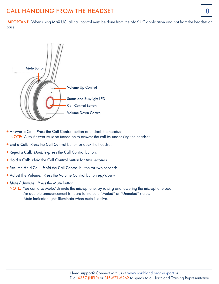# <span id="page-9-0"></span>CALL HANDLING FROM THE HEADSET SERVICES AND RESERVE THE SERVICE SERVICE SERVICES AND RESERVE THE SERVICE SERVICE SERVICES

IMPORTANT: When using MaX UC, all call control must be done from the MaX UC application and *not* from the headset or base.



- + Answer a Call: *Press* the Call Control button or undock the headset. NOTE: Auto Answer must be turned on to answer the call by undocking the headset.
- + End a Call: *Press* the Call Control button or dock the headset.
- + Reject a Call: *Double-press* the Call Control button.
- + Hold a Call: *Hold* the Call Control button for *two seconds*.
- + Resume Held Call: *Hold* the Call Control button for *two seconds.*
- + Adjust the Volume: *Press* the Volume Control button *up/down*.
- + Mute/Unmute: *Press* the Mute button.
	- NOTE: You can also Mute/Unmute the microphone, by raising and lowering the microphone boom. An audible announcement is heard to indicate "Muted" or "Unmuted" status. Mute indicator lights illuminate when mute is active.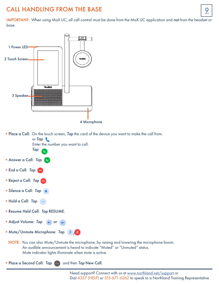# <span id="page-10-0"></span>CALL HANDLING FROM THE BASE **1998**

IMPORTANT: When using MaX UC, all call control must be done from the MaX UC application and *not* from the headset or base.



+ Place a Call: On the touch screen, *Tap* the card of the device you want to make the call from. or *Tap* Enter the number you want to call.



 NOTE: You can also Mute/Unmute the microphone, by raising and lowering the microphone boom. An audible announcement is heard to indicate "Muted" or "Unmuted" status. Mute indicator lights illuminate when mute is active.

 $\mathscr{L}(\mathscr{L})$ 

+ Place a Second Call: Tap (a) and then Tap New Call.